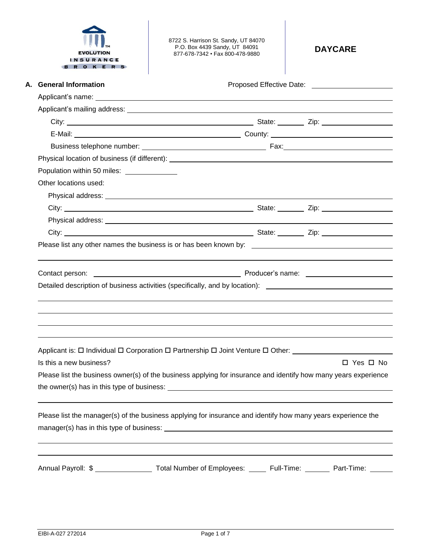| ГM               |  |  |  |  |
|------------------|--|--|--|--|
| <b>EVOLUTION</b> |  |  |  |  |
| <b>INSURANCE</b> |  |  |  |  |
| o<br>۰           |  |  |  |  |

8722 S. Harrison St. Sandy, UT 84070 P.O. Box 4439 Sandy, UT 84091 877-678-7342 • Fax 800-478-9880 **DAYCARE**

| Applicant's name: <u>contract and a series of the series of the series of the series of the series of the series of</u>                                                                                                                  |  |                      |  |
|------------------------------------------------------------------------------------------------------------------------------------------------------------------------------------------------------------------------------------------|--|----------------------|--|
|                                                                                                                                                                                                                                          |  |                      |  |
|                                                                                                                                                                                                                                          |  |                      |  |
|                                                                                                                                                                                                                                          |  |                      |  |
|                                                                                                                                                                                                                                          |  |                      |  |
|                                                                                                                                                                                                                                          |  |                      |  |
| Population within 50 miles: ______________                                                                                                                                                                                               |  |                      |  |
| Other locations used:                                                                                                                                                                                                                    |  |                      |  |
|                                                                                                                                                                                                                                          |  |                      |  |
|                                                                                                                                                                                                                                          |  |                      |  |
|                                                                                                                                                                                                                                          |  |                      |  |
|                                                                                                                                                                                                                                          |  |                      |  |
| Please list any other names the business is or has been known by: __________________________________                                                                                                                                     |  |                      |  |
| Contact person: <u>example and contact</u> person in the control of the contact person: <u>example and contact</u> person in the control of the control of the control of the control of the control of the control of the control of th |  |                      |  |
| Detailed description of business activities (specifically, and by location): _________________________________                                                                                                                           |  |                      |  |
|                                                                                                                                                                                                                                          |  |                      |  |
|                                                                                                                                                                                                                                          |  |                      |  |
|                                                                                                                                                                                                                                          |  |                      |  |
|                                                                                                                                                                                                                                          |  |                      |  |
|                                                                                                                                                                                                                                          |  |                      |  |
| Applicant is: □ Individual □ Corporation □ Partnership □ Joint Venture □ Other:                                                                                                                                                          |  |                      |  |
| Is this a new business?                                                                                                                                                                                                                  |  |                      |  |
| Please list the business owner(s) of the business applying for insurance and identify how many years experience                                                                                                                          |  | $\Box$ Yes $\Box$ No |  |
|                                                                                                                                                                                                                                          |  |                      |  |
| Please list the manager(s) of the business applying for insurance and identify how many years experience the                                                                                                                             |  |                      |  |
|                                                                                                                                                                                                                                          |  |                      |  |
|                                                                                                                                                                                                                                          |  |                      |  |
| Annual Payroll: \$ _____________________ Total Number of Employees: ______ Full-Time: ________ Part-Time: ______                                                                                                                         |  |                      |  |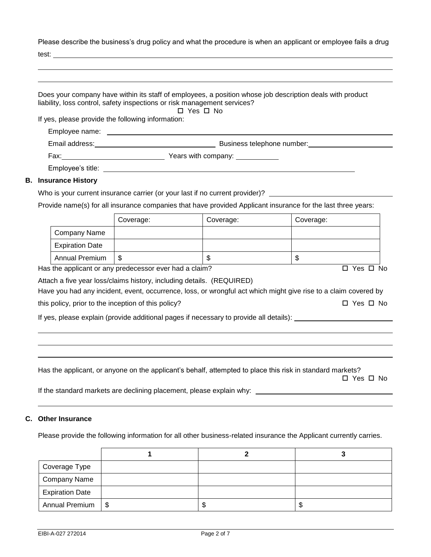Please describe the business's drug policy and what the procedure is when an applicant or employee fails a drug

| ۰.<br>×<br>۰. |  |
|---------------|--|
|               |  |

**B. Insurance History**

**C. Other Insurance**

| liability, loss control, safety inspections or risk management services? |           |                                                                              | Does your company have within its staff of employees, a position whose job description deals with product                                                                                                                         |  |  |  |
|--------------------------------------------------------------------------|-----------|------------------------------------------------------------------------------|-----------------------------------------------------------------------------------------------------------------------------------------------------------------------------------------------------------------------------------|--|--|--|
| If yes, please provide the following information:                        |           | $\Box$ Yes $\Box$ No                                                         |                                                                                                                                                                                                                                   |  |  |  |
|                                                                          |           |                                                                              |                                                                                                                                                                                                                                   |  |  |  |
|                                                                          |           |                                                                              |                                                                                                                                                                                                                                   |  |  |  |
|                                                                          |           |                                                                              |                                                                                                                                                                                                                                   |  |  |  |
|                                                                          |           |                                                                              |                                                                                                                                                                                                                                   |  |  |  |
| <b>Insurance History</b>                                                 |           |                                                                              |                                                                                                                                                                                                                                   |  |  |  |
|                                                                          |           | Who is your current insurance carrier (or your last if no current provider)? |                                                                                                                                                                                                                                   |  |  |  |
|                                                                          |           |                                                                              | Provide name(s) for all insurance companies that have provided Applicant insurance for the last three years:                                                                                                                      |  |  |  |
|                                                                          | Coverage: | Coverage:                                                                    | Coverage:                                                                                                                                                                                                                         |  |  |  |
| <b>Company Name</b>                                                      |           |                                                                              |                                                                                                                                                                                                                                   |  |  |  |
| <b>Expiration Date</b>                                                   |           |                                                                              |                                                                                                                                                                                                                                   |  |  |  |
| <b>Annual Premium</b>                                                    | \$        | \$                                                                           | \$                                                                                                                                                                                                                                |  |  |  |
| Has the applicant or any predecessor ever had a claim?                   |           |                                                                              | $\Box$ Yes $\Box$ No                                                                                                                                                                                                              |  |  |  |
| this policy, prior to the inception of this policy?                      |           |                                                                              | Have you had any incident, event, occurrence, loss, or wrongful act which might give rise to a claim covered by<br>$\Box$ Yes $\Box$ No<br>If yes, please explain (provide additional pages if necessary to provide all details): |  |  |  |
|                                                                          |           |                                                                              |                                                                                                                                                                                                                                   |  |  |  |
|                                                                          |           |                                                                              | Has the applicant, or anyone on the applicant's behalf, attempted to place this risk in standard markets?<br>□ Yes □ No                                                                                                           |  |  |  |
| If the standard markets are declining placement, please explain why:     |           |                                                                              |                                                                                                                                                                                                                                   |  |  |  |
| <b>Other Insurance</b>                                                   |           |                                                                              |                                                                                                                                                                                                                                   |  |  |  |
|                                                                          |           |                                                                              | Please provide the following information for all other business-related insurance the Applicant currently carries.                                                                                                                |  |  |  |
| 1<br>$\mathbf{2}$<br>3                                                   |           |                                                                              |                                                                                                                                                                                                                                   |  |  |  |
| Coverage Type                                                            |           |                                                                              |                                                                                                                                                                                                                                   |  |  |  |
| Company Name                                                             |           |                                                                              |                                                                                                                                                                                                                                   |  |  |  |

Expiration Date

Annual Premium | \$  $\vert \text{\$}$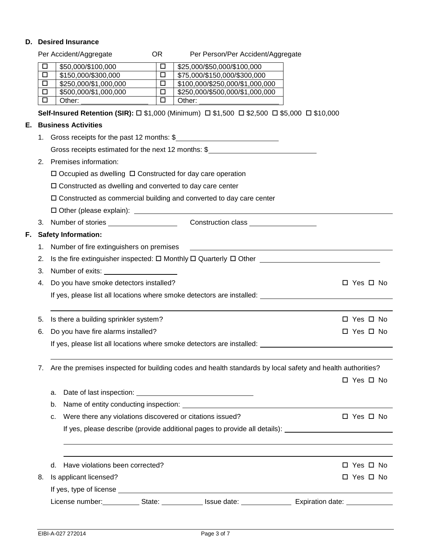## **D. Desired Insurance**

|    |             | Per Accident/Aggregate                                                                                         | OR.              |        | Per Person/Per Accident/Aggregate |                                                                         |            |
|----|-------------|----------------------------------------------------------------------------------------------------------------|------------------|--------|-----------------------------------|-------------------------------------------------------------------------|------------|
|    | $\Box$      | \$50,000/\$100,000                                                                                             | $\Box$           |        | \$25,000/\$50,000/\$100,000       |                                                                         |            |
|    | $\Box$      | \$150,000/\$300,000                                                                                            | $\Box$           |        | \$75,000/\$150,000/\$300,000      |                                                                         |            |
|    | $\Box$      | \$250,000/\$1,000,000                                                                                          | $\Box$           |        | \$100,000/\$250,000/\$1,000,000   |                                                                         |            |
|    | 口<br>$\Box$ | \$500,000/\$1,000,000<br>Other:                                                                                | $\Box$<br>$\Box$ |        | \$250,000/\$500,000/\$1,000,000   |                                                                         |            |
|    |             | Self-Insured Retention (SIR): □ \$1,000 (Minimum) □ \$1,500 □ \$2,500 □ \$5,000 □ \$10,000                     |                  | Other: |                                   |                                                                         |            |
| Е. |             | <b>Business Activities</b>                                                                                     |                  |        |                                   |                                                                         |            |
|    |             | 1. Gross receipts for the past 12 months: \$                                                                   |                  |        |                                   |                                                                         |            |
|    |             | Gross receipts estimated for the next 12 months: $\frac{6}{3}$                                                 |                  |        |                                   |                                                                         |            |
|    | 2.          | Premises information:                                                                                          |                  |        |                                   |                                                                         |            |
|    |             | $\Box$ Occupied as dwelling $\Box$ Constructed for day care operation                                          |                  |        |                                   |                                                                         |            |
|    |             | $\square$ Constructed as dwelling and converted to day care center                                             |                  |        |                                   |                                                                         |            |
|    |             | $\square$ Constructed as commercial building and converted to day care center                                  |                  |        |                                   |                                                                         |            |
|    |             |                                                                                                                |                  |        |                                   |                                                                         |            |
|    |             |                                                                                                                |                  |        |                                   |                                                                         |            |
| F. |             | <b>Safety Information:</b>                                                                                     |                  |        |                                   |                                                                         |            |
|    | 1.          | Number of fire extinguishers on premises                                                                       |                  |        |                                   | <u> 1989 - Andrea State Barbara, politik eta politikaria (h. 1989).</u> |            |
|    | 2.          | Is the fire extinguisher inspected: $\square$ Monthly $\square$ Quarterly $\square$ Other $\square$            |                  |        |                                   |                                                                         |            |
|    | 3.          | Number of exits:                                                                                               |                  |        |                                   |                                                                         |            |
|    | 4.          | Do you have smoke detectors installed?                                                                         |                  |        |                                   |                                                                         | □ Yes □ No |
|    |             | If yes, please list all locations where smoke detectors are installed: _____________________________           |                  |        |                                   |                                                                         |            |
|    | 5.          | Is there a building sprinkler system?                                                                          |                  |        |                                   |                                                                         | □ Yes □ No |
|    | 6.          | Do you have fire alarms installed?                                                                             |                  |        |                                   |                                                                         | □ Yes □ No |
|    |             | If yes, please list all locations where smoke detectors are installed: _____________________________           |                  |        |                                   |                                                                         |            |
|    |             |                                                                                                                |                  |        |                                   |                                                                         |            |
|    | 7.          | Are the premises inspected for building codes and health standards by local safety and health authorities?     |                  |        |                                   |                                                                         |            |
|    |             |                                                                                                                |                  |        |                                   |                                                                         | □ Yes □ No |
|    |             | a.                                                                                                             |                  |        |                                   |                                                                         |            |
|    |             | b.                                                                                                             |                  |        |                                   |                                                                         |            |
|    |             | Were there any violations discovered or citations issued?<br>с.                                                |                  |        |                                   |                                                                         | □ Yes □ No |
|    |             | If yes, please describe (provide additional pages to provide all details):                                     |                  |        |                                   |                                                                         |            |
|    |             |                                                                                                                |                  |        |                                   |                                                                         |            |
|    |             |                                                                                                                |                  |        |                                   |                                                                         |            |
|    |             | Have violations been corrected?<br>d.                                                                          |                  |        |                                   |                                                                         | □ Yes □ No |
|    | 8.          | Is applicant licensed?                                                                                         |                  |        |                                   |                                                                         | □ Yes □ No |
|    |             |                                                                                                                |                  |        |                                   |                                                                         |            |
|    |             | License number: State: Communication Communication Communication Cate: Communication Communication Communicati |                  |        |                                   |                                                                         |            |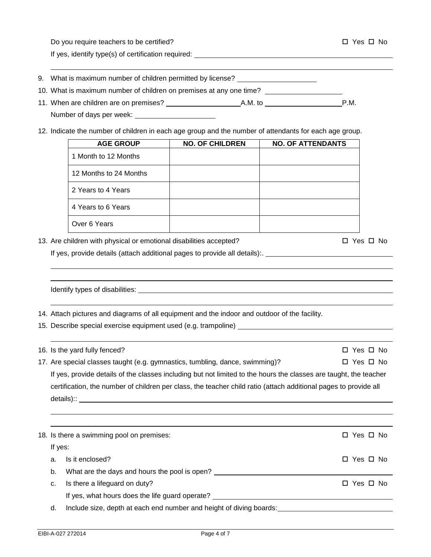Do you require teachers to be certified? Yes No

If yes, identify type(s) of certification required:

|  |  |  | 9. What is maximum number of children permitted by license? |
|--|--|--|-------------------------------------------------------------|
|  |  |  |                                                             |

- 10. What is maximum number of children on premises at any one time?
- 11. When are children are on premises? A.M. to P.M. Number of days per week:
- 12. Indicate the number of children in each age group and the number of attendants for each age group.

| <b>AGE GROUP</b>       | <b>NO. OF CHILDREN</b> | <b>NO. OF ATTENDANTS</b> |
|------------------------|------------------------|--------------------------|
| 1 Month to 12 Months   |                        |                          |
| 12 Months to 24 Months |                        |                          |
| 2 Years to 4 Years     |                        |                          |
| 4 Years to 6 Years     |                        |                          |
| Over 6 Years           |                        |                          |

13. Are children with physical or emotional disabilities accepted?  $\square$  Yes  $\square$  No

If yes, provide details (attach additional pages to provide all details):.

Identify types of disabilities: 14. Attach pictures and diagrams of all equipment and the indoor and outdoor of the facility. 15. Describe special exercise equipment used (e.g. trampoline) 16. Is the yard fully fenced? Yes No

17. Are special classes taught (e.g. gymnastics, tumbling, dance, swimming)?  $\square$  Yes  $\square$  No If yes, provide details of the classes including but not limited to the hours the classes are taught, the teacher certification, the number of children per class, the teacher child ratio (attach additional pages to provide all details):: experience of the state of the state of the state of the state of the state of the state of the state of the state of the state of the state of the state of the state of the state of the state of the state of th

|                                                                           | 18. Is there a swimming pool on premises:       | □ Yes □ No |  |
|---------------------------------------------------------------------------|-------------------------------------------------|------------|--|
| If yes:                                                                   |                                                 |            |  |
| a.                                                                        | Is it enclosed?                                 | □ Yes □ No |  |
| b.                                                                        | What are the days and hours the pool is open?   |            |  |
| c.                                                                        | Is there a lifeguard on duty?                   | □ Yes □ No |  |
|                                                                           | If yes, what hours does the life guard operate? |            |  |
| Include size, depth at each end number and height of diving boards:<br>d. |                                                 |            |  |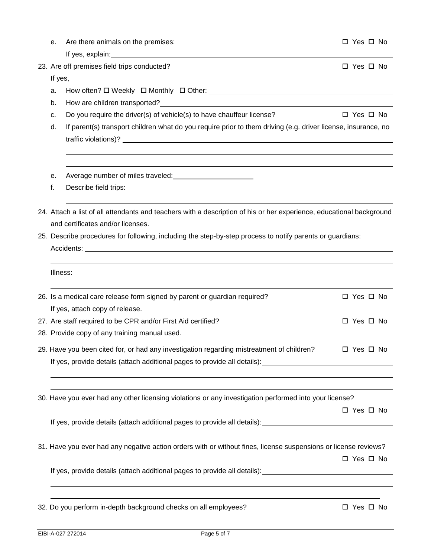|  | е.      | Are there animals on the premises:                                                                                                                                                                                             | $\Box$ Yes $\Box$ No |  |  |  |
|--|---------|--------------------------------------------------------------------------------------------------------------------------------------------------------------------------------------------------------------------------------|----------------------|--|--|--|
|  |         | If yes, explain: example and a series of the series of the series of the series of the series of the series of the series of the series of the series of the series of the series of the series of the series of the series of |                      |  |  |  |
|  |         | 23. Are off premises field trips conducted?                                                                                                                                                                                    | $\Box$ Yes $\Box$ No |  |  |  |
|  | If yes, |                                                                                                                                                                                                                                |                      |  |  |  |
|  | a.      |                                                                                                                                                                                                                                |                      |  |  |  |
|  | b.      |                                                                                                                                                                                                                                |                      |  |  |  |
|  | c.      | Do you require the driver(s) of vehicle(s) to have chauffeur license?                                                                                                                                                          | $\Box$ Yes $\Box$ No |  |  |  |
|  | d.      | If parent(s) transport children what do you require prior to them driving (e.g. driver license, insurance, no                                                                                                                  |                      |  |  |  |
|  |         | traffic violations)? <u>Andrea and the contract of the contract of the contract of the contract of the contract of</u>                                                                                                         |                      |  |  |  |
|  |         |                                                                                                                                                                                                                                |                      |  |  |  |
|  | е.      |                                                                                                                                                                                                                                |                      |  |  |  |
|  | f.      |                                                                                                                                                                                                                                |                      |  |  |  |
|  |         |                                                                                                                                                                                                                                |                      |  |  |  |
|  |         | 24. Attach a list of all attendants and teachers with a description of his or her experience, educational background                                                                                                           |                      |  |  |  |
|  |         | and certificates and/or licenses.                                                                                                                                                                                              |                      |  |  |  |
|  |         | 25. Describe procedures for following, including the step-by-step process to notify parents or guardians:                                                                                                                      |                      |  |  |  |
|  |         |                                                                                                                                                                                                                                |                      |  |  |  |
|  |         |                                                                                                                                                                                                                                |                      |  |  |  |
|  |         |                                                                                                                                                                                                                                |                      |  |  |  |
|  |         | 26. Is a medical care release form signed by parent or guardian required?                                                                                                                                                      | $\Box$ Yes $\Box$ No |  |  |  |
|  |         | If yes, attach copy of release.                                                                                                                                                                                                |                      |  |  |  |
|  |         | 27. Are staff required to be CPR and/or First Aid certified?                                                                                                                                                                   | $\Box$ Yes $\Box$ No |  |  |  |
|  |         | 28. Provide copy of any training manual used.                                                                                                                                                                                  |                      |  |  |  |
|  |         | 29. Have you been cited for, or had any investigation regarding mistreatment of children?                                                                                                                                      | □ Yes □ No           |  |  |  |
|  |         | If yes, provide details (attach additional pages to provide all details): [16] [20] [20] [20] [20] [30] [30] [                                                                                                                 |                      |  |  |  |
|  |         |                                                                                                                                                                                                                                |                      |  |  |  |
|  |         |                                                                                                                                                                                                                                |                      |  |  |  |
|  |         | 30. Have you ever had any other licensing violations or any investigation performed into your license?                                                                                                                         |                      |  |  |  |
|  |         |                                                                                                                                                                                                                                | □ Yes □ No           |  |  |  |
|  |         | If yes, provide details (attach additional pages to provide all details): 100000000000000000000000000000000000                                                                                                                 |                      |  |  |  |
|  |         |                                                                                                                                                                                                                                |                      |  |  |  |
|  |         | 31. Have you ever had any negative action orders with or without fines, license suspensions or license reviews?                                                                                                                |                      |  |  |  |
|  |         |                                                                                                                                                                                                                                | □ Yes □ No           |  |  |  |
|  |         | If yes, provide details (attach additional pages to provide all details): [16] The Connection Connection Connect                                                                                                               |                      |  |  |  |
|  |         | <u> 1989 - Jan Salaman Salaman (j. 1989)</u>                                                                                                                                                                                   |                      |  |  |  |
|  |         | 32. Do you perform in-depth background checks on all employees?                                                                                                                                                                | □ Yes □ No           |  |  |  |
|  |         |                                                                                                                                                                                                                                |                      |  |  |  |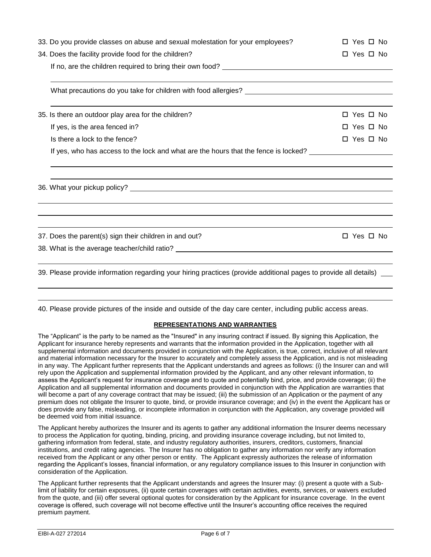| 33. Do you provide classes on abuse and sexual molestation for your employees?                                      | □ Yes □ No           |
|---------------------------------------------------------------------------------------------------------------------|----------------------|
| 34. Does the facility provide food for the children?                                                                | $\Box$ Yes $\Box$ No |
|                                                                                                                     |                      |
|                                                                                                                     |                      |
|                                                                                                                     |                      |
| 35. Is there an outdoor play area for the children?                                                                 | □ Yes □ No           |
| If yes, is the area fenced in?                                                                                      | □ Yes □ No           |
| Is there a lock to the fence?                                                                                       | □ Yes □ No           |
| If yes, who has access to the lock and what are the hours that the fence is locked?                                 |                      |
|                                                                                                                     |                      |
|                                                                                                                     |                      |
|                                                                                                                     |                      |
| 37. Does the parent(s) sign their children in and out?                                                              | $\Box$ Yes $\Box$ No |
|                                                                                                                     |                      |
| 39. Please provide information regarding your hiring practices (provide additional pages to provide all details) __ |                      |
|                                                                                                                     |                      |

## **REPRESENTATIONS AND WARRANTIES**

The "Applicant" is the party to be named as the "Insured" in any insuring contract if issued. By signing this Application, the Applicant for insurance hereby represents and warrants that the information provided in the Application, together with all supplemental information and documents provided in conjunction with the Application, is true, correct, inclusive of all relevant and material information necessary for the Insurer to accurately and completely assess the Application, and is not misleading in any way. The Applicant further represents that the Applicant understands and agrees as follows: (i) the Insurer can and will rely upon the Application and supplemental information provided by the Applicant, and any other relevant information, to assess the Applicant's request for insurance coverage and to quote and potentially bind, price, and provide coverage; (ii) the Application and all supplemental information and documents provided in conjunction with the Application are warranties that will become a part of any coverage contract that may be issued; (iii) the submission of an Application or the payment of any premium does not obligate the Insurer to quote, bind, or provide insurance coverage; and (iv) in the event the Applicant has or does provide any false, misleading, or incomplete information in conjunction with the Application, any coverage provided will be deemed void from initial issuance.

The Applicant hereby authorizes the Insurer and its agents to gather any additional information the Insurer deems necessary to process the Application for quoting, binding, pricing, and providing insurance coverage including, but not limited to, gathering information from federal, state, and industry regulatory authorities, insurers, creditors, customers, financial institutions, and credit rating agencies. The Insurer has no obligation to gather any information nor verify any information received from the Applicant or any other person or entity. The Applicant expressly authorizes the release of information regarding the Applicant's losses, financial information, or any regulatory compliance issues to this Insurer in conjunction with consideration of the Application.

The Applicant further represents that the Applicant understands and agrees the Insurer may: (i) present a quote with a Sublimit of liability for certain exposures, (ii) quote certain coverages with certain activities, events, services, or waivers excluded from the quote, and (iii) offer several optional quotes for consideration by the Applicant for insurance coverage. In the event coverage is offered, such coverage will not become effective until the Insurer's accounting office receives the required premium payment.